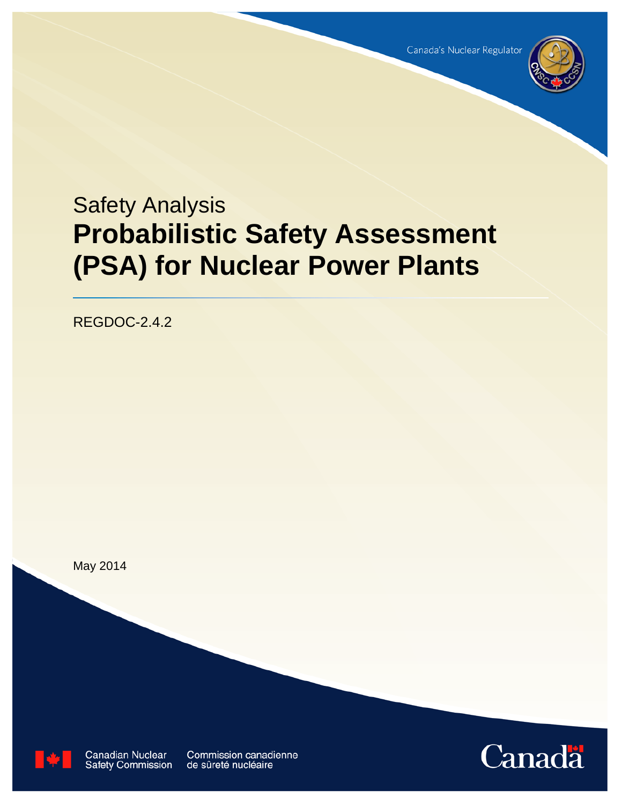

# Safety Analysis **Probabilistic Safety Assessment (PSA) for Nuclear Power Plants**

REGDOC-2.4.2

May 2014

**Canadian Nuclear Safety Commission** 

Commission canadienne de sûreté nucléaire

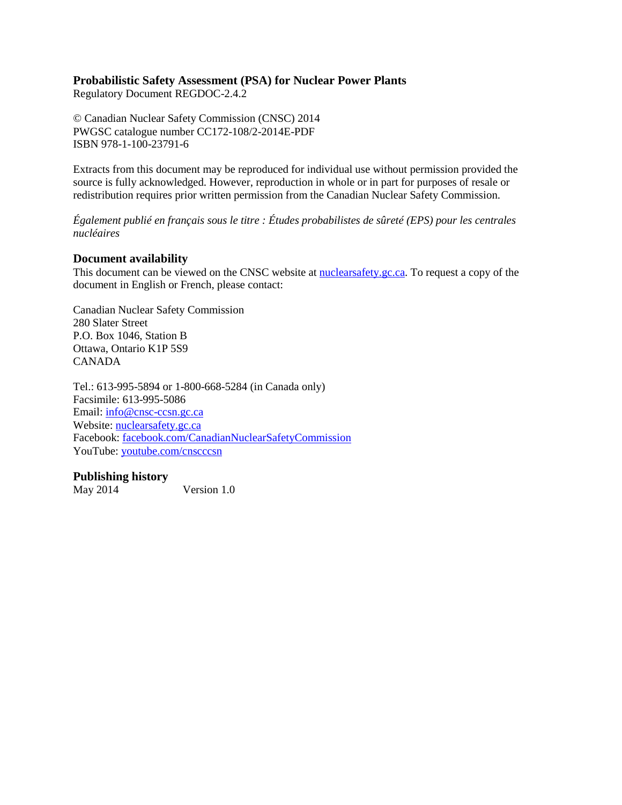# **Probabilistic Safety Assessment (PSA) for Nuclear Power Plants**

Regulatory Document REGDOC-2.4.2

© Canadian Nuclear Safety Commission (CNSC) 2014 PWGSC catalogue number CC172-108/2-2014E-PDF ISBN 978-1-100-23791-6

Extracts from this document may be reproduced for individual use without permission provided the source is fully acknowledged. However, reproduction in whole or in part for purposes of resale or redistribution requires prior written permission from the Canadian Nuclear Safety Commission.

*Également publié en français sous le titre : Études probabilistes de sûreté (EPS) pour les centrales nucléaires*

# **Document availability**

This document can be viewed on the CNSC website at **nuclearsafety** gc.ca. To request a copy of the document in English or French, please contact:

Canadian Nuclear Safety Commission 280 Slater Street P.O. Box 1046, Station B Ottawa, Ontario K1P 5S9 CANADA

Tel.: 613-995-5894 or 1-800-668-5284 (in Canada only) Facsimile: 613-995-5086 Email: [info@cnsc-ccsn.gc.ca](mailto:info@cnsc-ccsn.gc.ca) Website: [nuclearsafety.gc.ca](http://www.nuclearsafety.gc.ca/) Facebook: [facebook.com/CanadianNuclearSafetyCommission](http://www.facebook.com/CanadianNuclearSafetyCommission) YouTube: [youtube.com/cnscccsn](http://www.youtube.com/cnscccsn)

# **Publishing history**

May 2014 Version 1.0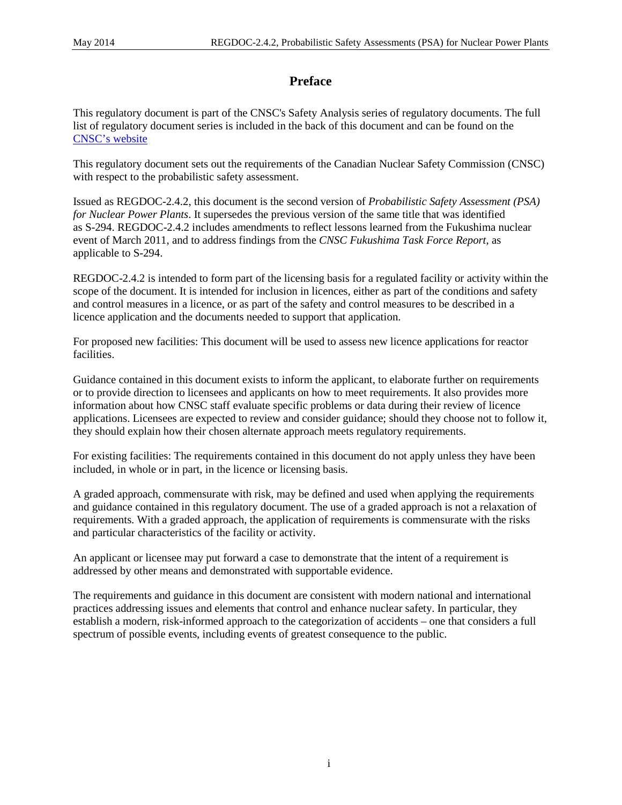# **Preface**

This regulatory document is part of the CNSC's Safety Analysis series of regulatory documents. The full list of regulatory document series is included in the back of this document and can be found on the [CNSC's website](http://www.nuclearsafety.gc.ca/eng/acts-and-regulations/regulatory-documents/index.cfm)

This regulatory document sets out the requirements of the Canadian Nuclear Safety Commission (CNSC) with respect to the probabilistic safety assessment.

Issued as REGDOC-2.4.2, this document is the second version of *Probabilistic Safety Assessment (PSA) for Nuclear Power Plants*. It supersedes the previous version of the same title that was identified as S-294. REGDOC-2.4.2 includes amendments to reflect lessons learned from the Fukushima nuclear event of March 2011, and to address findings from the *CNSC Fukushima Task Force Report*, as applicable to S-294.

REGDOC-2.4.2 is intended to form part of the licensing basis for a regulated facility or activity within the scope of the document. It is intended for inclusion in licences, either as part of the conditions and safety and control measures in a licence, or as part of the safety and control measures to be described in a licence application and the documents needed to support that application.

For proposed new facilities: This document will be used to assess new licence applications for reactor facilities.

Guidance contained in this document exists to inform the applicant, to elaborate further on requirements or to provide direction to licensees and applicants on how to meet requirements. It also provides more information about how CNSC staff evaluate specific problems or data during their review of licence applications. Licensees are expected to review and consider guidance; should they choose not to follow it, they should explain how their chosen alternate approach meets regulatory requirements.

For existing facilities: The requirements contained in this document do not apply unless they have been included, in whole or in part, in the licence or licensing basis.

A graded approach, commensurate with risk, may be defined and used when applying the requirements and guidance contained in this regulatory document. The use of a graded approach is not a relaxation of requirements. With a graded approach, the application of requirements is commensurate with the risks and particular characteristics of the facility or activity.

An applicant or licensee may put forward a case to demonstrate that the intent of a requirement is addressed by other means and demonstrated with supportable evidence.

The requirements and guidance in this document are consistent with modern national and international practices addressing issues and elements that control and enhance nuclear safety. In particular, they establish a modern, risk-informed approach to the categorization of accidents – one that considers a full spectrum of possible events, including events of greatest consequence to the public.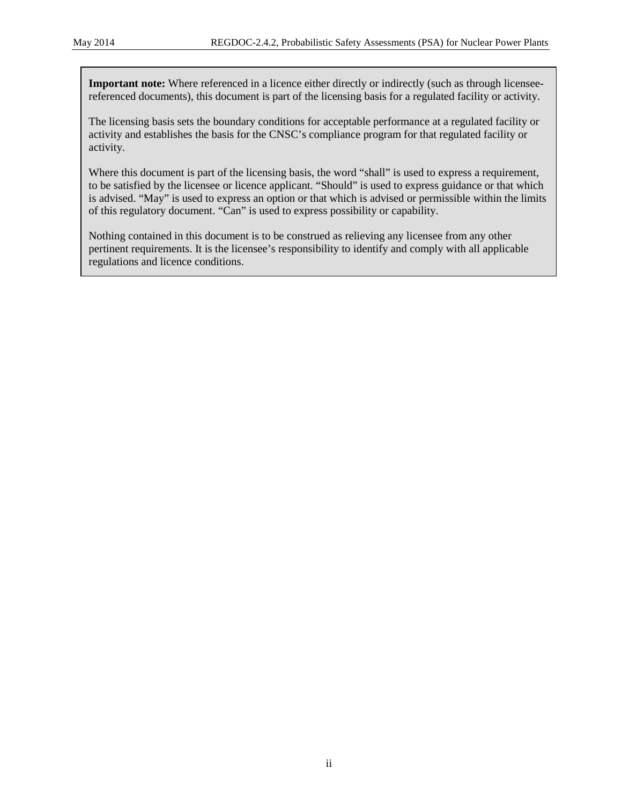**Important note:** Where referenced in a licence either directly or indirectly (such as through licenseereferenced documents), this document is part of the licensing basis for a regulated facility or activity.

The licensing basis sets the boundary conditions for acceptable performance at a regulated facility or activity and establishes the basis for the CNSC's compliance program for that regulated facility or activity.

Where this document is part of the licensing basis, the word "shall" is used to express a requirement, to be satisfied by the licensee or licence applicant. "Should" is used to express guidance or that which is advised. "May" is used to express an option or that which is advised or permissible within the limits of this regulatory document. "Can" is used to express possibility or capability.

Nothing contained in this document is to be construed as relieving any licensee from any other pertinent requirements. It is the licensee's responsibility to identify and comply with all applicable regulations and licence conditions.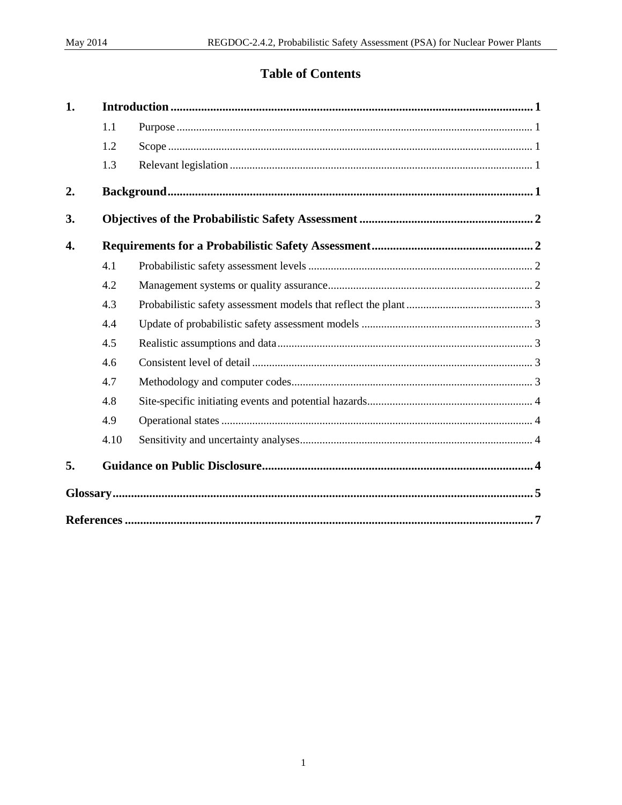# **Table of Contents**

| 1. |      |  |  |
|----|------|--|--|
|    | 1.1  |  |  |
|    | 1.2  |  |  |
|    | 1.3  |  |  |
| 2. |      |  |  |
| 3. |      |  |  |
| 4. |      |  |  |
|    | 4.1  |  |  |
|    | 4.2  |  |  |
|    | 4.3  |  |  |
|    | 4.4  |  |  |
|    | 4.5  |  |  |
|    | 4.6  |  |  |
|    | 4.7  |  |  |
|    | 4.8  |  |  |
|    | 4.9  |  |  |
|    | 4.10 |  |  |
| 5. |      |  |  |
|    |      |  |  |
|    |      |  |  |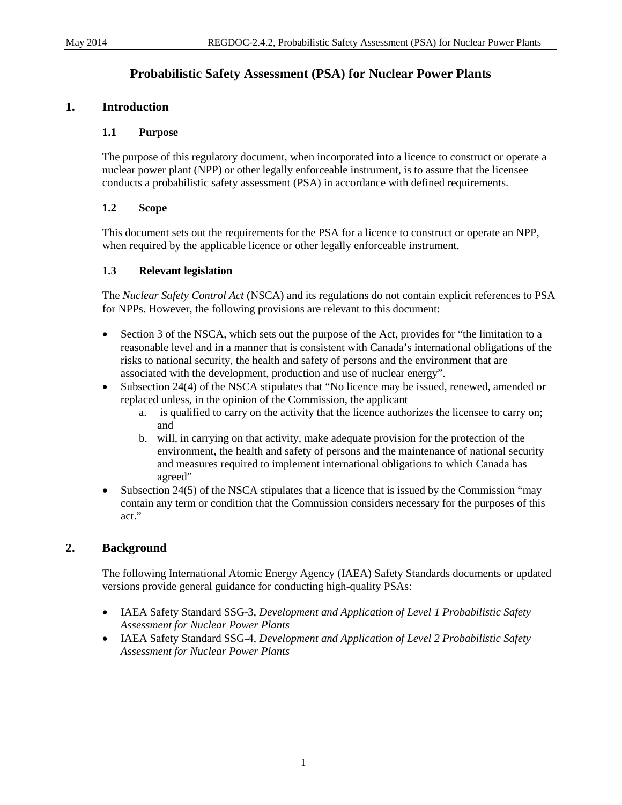# **Probabilistic Safety Assessment (PSA) for Nuclear Power Plants**

# <span id="page-5-1"></span><span id="page-5-0"></span>**1. Introduction**

#### **1.1 Purpose**

The purpose of this regulatory document, when incorporated into a licence to construct or operate a nuclear power plant (NPP) or other legally enforceable instrument, is to assure that the licensee conducts a probabilistic safety assessment (PSA) in accordance with defined requirements.

#### <span id="page-5-2"></span>**1.2 Scope**

This document sets out the requirements for the PSA for a licence to construct or operate an NPP, when required by the applicable licence or other legally enforceable instrument.

#### <span id="page-5-3"></span>**1.3 Relevant legislation**

The *Nuclear Safety Control Act* (NSCA) and its regulations do not contain explicit references to PSA for NPPs. However, the following provisions are relevant to this document:

- Section 3 of the NSCA, which sets out the purpose of the Act, provides for "the limitation to a reasonable level and in a manner that is consistent with Canada's international obligations of the risks to national security, the health and safety of persons and the environment that are associated with the development, production and use of nuclear energy".
- Subsection 24(4) of the NSCA stipulates that "No licence may be issued, renewed, amended or replaced unless, in the opinion of the Commission, the applicant
	- a. is qualified to carry on the activity that the licence authorizes the licensee to carry on; and
	- b. will, in carrying on that activity, make adequate provision for the protection of the environment, the health and safety of persons and the maintenance of national security and measures required to implement international obligations to which Canada has agreed"
- Subsection 24(5) of the NSCA stipulates that a licence that is issued by the Commission "may contain any term or condition that the Commission considers necessary for the purposes of this act."

# <span id="page-5-4"></span>**2. Background**

The following International Atomic Energy Agency (IAEA) Safety Standards documents or updated versions provide general guidance for conducting high-quality PSAs:

- IAEA Safety Standard SSG-3, *Development and Application of Level 1 Probabilistic Safety Assessment for Nuclear Power Plants*
- <span id="page-5-5"></span>• IAEA Safety Standard SSG-4, *Development and Application of Level 2 Probabilistic Safety Assessment for Nuclear Power Plants*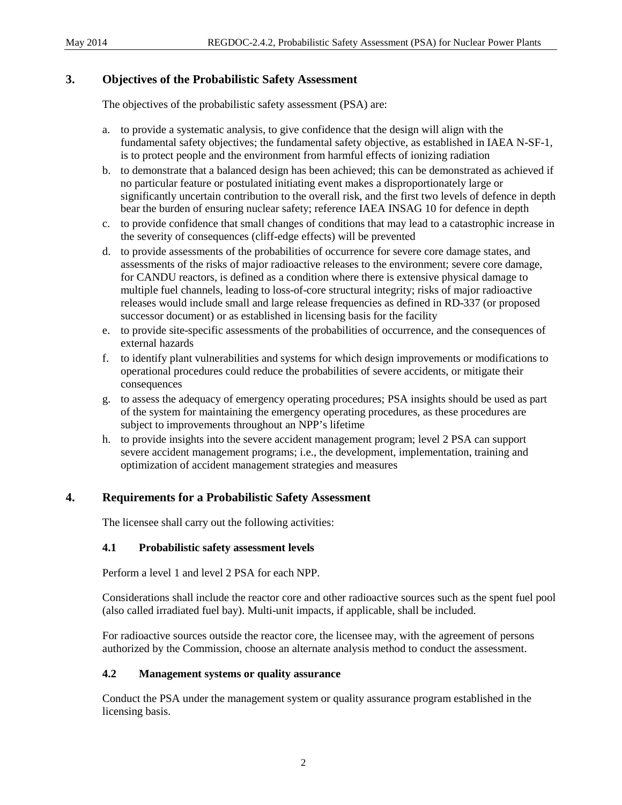# **3. Objectives of the Probabilistic Safety Assessment**

The objectives of the probabilistic safety assessment (PSA) are:

- a. to provide a systematic analysis, to give confidence that the design will align with the fundamental safety objectives; the fundamental safety objective, as established in IAEA N-SF-1, is to protect people and the environment from harmful effects of ionizing radiation
- b. to demonstrate that a balanced design has been achieved; this can be demonstrated as achieved if no particular feature or postulated initiating event makes a disproportionately large or significantly uncertain contribution to the overall risk, and the first two levels of defence in depth bear the burden of ensuring nuclear safety; reference IAEA INSAG 10 for defence in depth
- c. to provide confidence that small changes of conditions that may lead to a catastrophic increase in the severity of consequences (cliff-edge effects) will be prevented
- d. to provide assessments of the probabilities of occurrence for severe core damage states, and assessments of the risks of major radioactive releases to the environment; severe core damage, for CANDU reactors, is defined as a condition where there is extensive physical damage to multiple fuel channels, leading to loss-of-core structural integrity; risks of major radioactive releases would include small and large release frequencies as defined in RD-337 (or proposed successor document) or as established in licensing basis for the facility
- e. to provide site-specific assessments of the probabilities of occurrence, and the consequences of external hazards
- f. to identify plant vulnerabilities and systems for which design improvements or modifications to operational procedures could reduce the probabilities of severe accidents, or mitigate their consequences
- g. to assess the adequacy of emergency operating procedures; PSA insights should be used as part of the system for maintaining the emergency operating procedures, as these procedures are subject to improvements throughout an NPP's lifetime
- h. to provide insights into the severe accident management program; level 2 PSA can support severe accident management programs; i.e., the development, implementation, training and optimization of accident management strategies and measures

# <span id="page-6-0"></span>**4. Requirements for a Probabilistic Safety Assessment**

The licensee shall carry out the following activities:

#### <span id="page-6-1"></span>**4.1 Probabilistic safety assessment levels**

Perform a level 1 and level 2 PSA for each NPP.

Considerations shall include the reactor core and other radioactive sources such as the spent fuel pool (also called irradiated fuel bay). Multi-unit impacts, if applicable, shall be included.

For radioactive sources outside the reactor core, the licensee may, with the agreement of persons authorized by the Commission, choose an alternate analysis method to conduct the assessment.

#### <span id="page-6-2"></span>**4.2 Management systems or quality assurance**

Conduct the PSA under the management system or quality assurance program established in the licensing basis.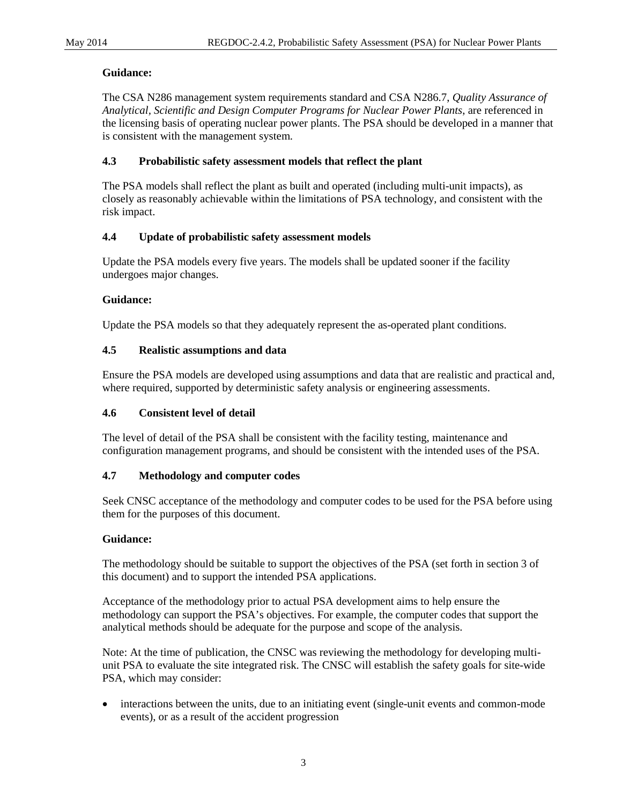# **Guidance:**

The CSA N286 management system requirements standard and CSA N286.7, *Quality Assurance of Analytical, Scientific and Design Computer Programs for Nuclear Power Plants*, are referenced in the licensing basis of operating nuclear power plants. The PSA should be developed in a manner that is consistent with the management system.

# <span id="page-7-0"></span>**4.3 Probabilistic safety assessment models that reflect the plant**

The PSA models shall reflect the plant as built and operated (including multi-unit impacts), as closely as reasonably achievable within the limitations of PSA technology, and consistent with the risk impact.

# <span id="page-7-1"></span>**4.4 Update of probabilistic safety assessment models**

Update the PSA models every five years. The models shall be updated sooner if the facility undergoes major changes.

# **Guidance:**

Update the PSA models so that they adequately represent the as-operated plant conditions.

# <span id="page-7-2"></span>**4.5 Realistic assumptions and data**

Ensure the PSA models are developed using assumptions and data that are realistic and practical and, where required, supported by deterministic safety analysis or engineering assessments.

# <span id="page-7-3"></span>**4.6 Consistent level of detail**

The level of detail of the PSA shall be consistent with the facility testing, maintenance and configuration management programs, and should be consistent with the intended uses of the PSA.

# <span id="page-7-4"></span>**4.7 Methodology and computer codes**

Seek CNSC acceptance of the methodology and computer codes to be used for the PSA before using them for the purposes of this document.

# **Guidance:**

The methodology should be suitable to support the objectives of the PSA (set forth in section 3 of this document) and to support the intended PSA applications.

Acceptance of the methodology prior to actual PSA development aims to help ensure the methodology can support the PSA's objectives. For example, the computer codes that support the analytical methods should be adequate for the purpose and scope of the analysis.

Note: At the time of publication, the CNSC was reviewing the methodology for developing multiunit PSA to evaluate the site integrated risk. The CNSC will establish the safety goals for site-wide PSA, which may consider:

• interactions between the units, due to an initiating event (single-unit events and common-mode events), or as a result of the accident progression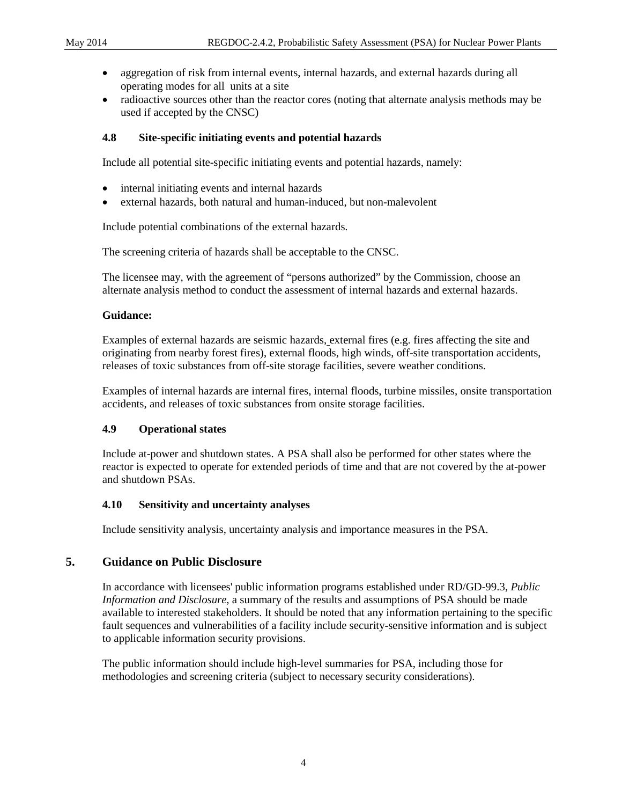- aggregation of risk from internal events, internal hazards, and external hazards during all operating modes for all units at a site
- radioactive sources other than the reactor cores (noting that alternate analysis methods may be used if accepted by the CNSC)

#### <span id="page-8-0"></span>**4.8 Site-specific initiating events and potential hazards**

Include all potential site-specific initiating events and potential hazards, namely:

- internal initiating events and internal hazards
- external hazards, both natural and human-induced, but non-malevolent

Include potential combinations of the external hazards.

The screening criteria of hazards shall be acceptable to the CNSC.

The licensee may, with the agreement of "persons authorized" by the Commission, choose an alternate analysis method to conduct the assessment of internal hazards and external hazards.

#### **Guidance:**

Examples of external hazards are seismic hazards, external fires (e.g. fires affecting the site and originating from nearby forest fires), external floods, high winds, off-site transportation accidents, releases of toxic substances from off-site storage facilities, severe weather conditions.

Examples of internal hazards are internal fires, internal floods, turbine missiles, onsite transportation accidents, and releases of toxic substances from onsite storage facilities.

#### <span id="page-8-1"></span>**4.9 Operational states**

Include at-power and shutdown states. A PSA shall also be performed for other states where the reactor is expected to operate for extended periods of time and that are not covered by the at-power and shutdown PSAs.

#### <span id="page-8-2"></span>**4.10 Sensitivity and uncertainty analyses**

Include sensitivity analysis, uncertainty analysis and importance measures in the PSA.

# <span id="page-8-3"></span>**5. Guidance on Public Disclosure**

In accordance with licensees' public information programs established under RD/GD-99.3, *Public Information and Disclosure*, a summary of the results and assumptions of PSA should be made available to interested stakeholders. It should be noted that any information pertaining to the specific fault sequences and vulnerabilities of a facility include security-sensitive information and is subject to applicable information security provisions.

The public information should include high-level summaries for PSA, including those for methodologies and screening criteria (subject to necessary security considerations).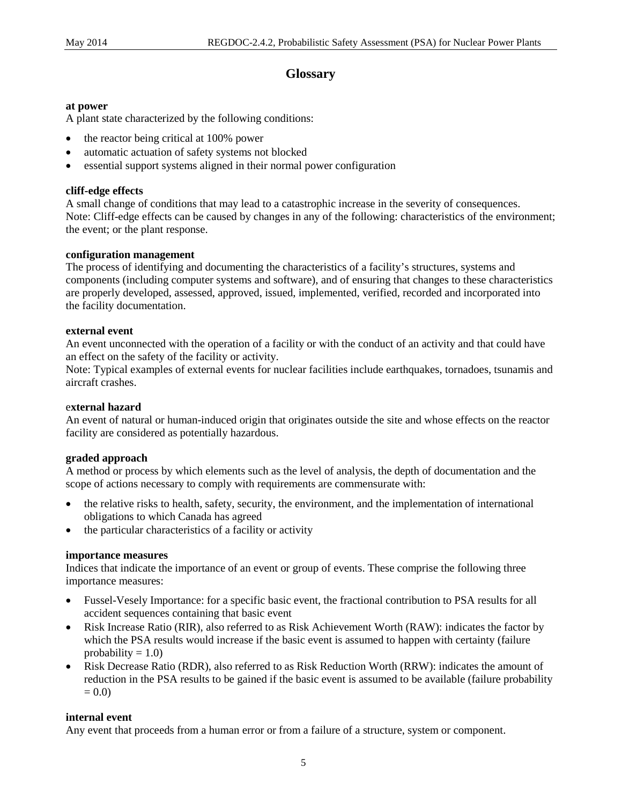# **Glossary**

#### <span id="page-9-0"></span>**at power**

A plant state characterized by the following conditions:

- the reactor being critical at 100% power
- automatic actuation of safety systems not blocked
- essential support systems aligned in their normal power configuration

#### **cliff-edge effects**

A small change of conditions that may lead to a catastrophic increase in the severity of consequences. Note: Cliff-edge effects can be caused by changes in any of the following: characteristics of the environment; the event; or the plant response.

#### **configuration management**

The process of identifying and documenting the characteristics of a facility's structures, systems and components (including computer systems and software), and of ensuring that changes to these characteristics are properly developed, assessed, approved, issued, implemented, verified, recorded and incorporated into the facility documentation.

#### **external event**

An event unconnected with the operation of a facility or with the conduct of an activity and that could have an effect on the safety of the facility or activity.

Note: Typical examples of external events for nuclear facilities include earthquakes, tornadoes, tsunamis and aircraft crashes.

#### e**xternal hazard**

An event of natural or human-induced origin that originates outside the site and whose effects on the reactor facility are considered as potentially hazardous.

#### **graded approach**

A method or process by which elements such as the level of analysis, the depth of documentation and the scope of actions necessary to comply with requirements are commensurate with:

- the relative risks to health, safety, security, the environment, and the implementation of international obligations to which Canada has agreed
- the particular characteristics of a facility or activity

#### **importance measures**

Indices that indicate the importance of an event or group of events. These comprise the following three importance measures:

- Fussel-Vesely Importance: for a specific basic event, the fractional contribution to PSA results for all accident sequences containing that basic event
- Risk Increase Ratio (RIR), also referred to as Risk Achievement Worth (RAW): indicates the factor by which the PSA results would increase if the basic event is assumed to happen with certainty (failure probability  $= 1.0$ )
- Risk Decrease Ratio (RDR), also referred to as Risk Reduction Worth (RRW): indicates the amount of reduction in the PSA results to be gained if the basic event is assumed to be available (failure probability  $= 0.0$

#### **internal event**

Any event that proceeds from a human error or from a failure of a structure, system or component.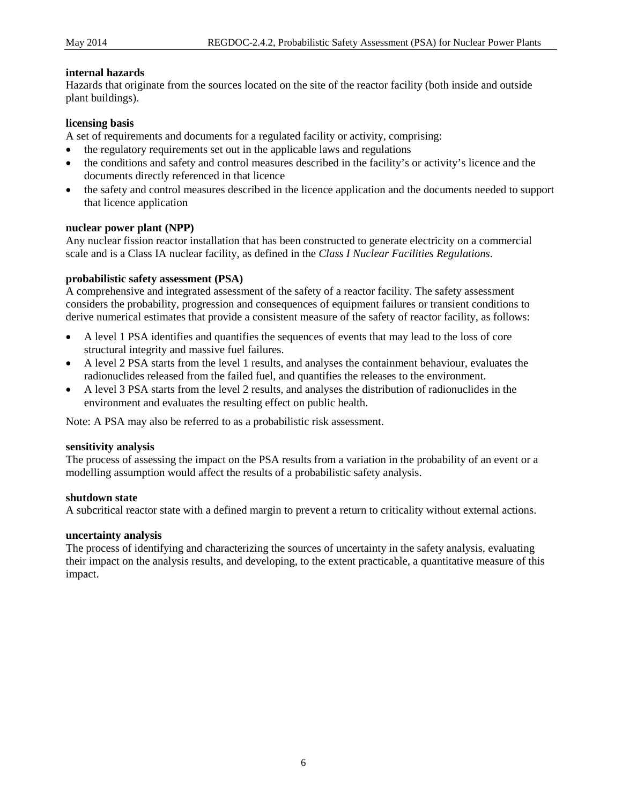#### **internal hazards**

Hazards that originate from the sources located on the site of the reactor facility (both inside and outside plant buildings).

#### **licensing basis**

A set of requirements and documents for a regulated facility or activity, comprising:

- the regulatory requirements set out in the applicable laws and regulations
- the conditions and safety and control measures described in the facility's or activity's licence and the documents directly referenced in that licence
- the safety and control measures described in the licence application and the documents needed to support that licence application

#### **nuclear power plant (NPP)**

Any nuclear fission reactor installation that has been constructed to generate electricity on a commercial scale and is a Class IA nuclear facility, as defined in the *Class I Nuclear Facilities Regulations*.

#### **probabilistic safety assessment (PSA)**

A comprehensive and integrated assessment of the safety of a reactor facility. The safety assessment considers the probability, progression and consequences of equipment failures or transient conditions to derive numerical estimates that provide a consistent measure of the safety of reactor facility, as follows:

- A level 1 PSA identifies and quantifies the sequences of events that may lead to the loss of core structural integrity and massive fuel failures.
- A level 2 PSA starts from the level 1 results, and analyses the containment behaviour, evaluates the radionuclides released from the failed fuel, and quantifies the releases to the environment.
- A level 3 PSA starts from the level 2 results, and analyses the distribution of radionuclides in the environment and evaluates the resulting effect on public health.

Note: A PSA may also be referred to as a probabilistic risk assessment.

#### **sensitivity analysis**

The process of assessing the impact on the PSA results from a variation in the probability of an event or a modelling assumption would affect the results of a probabilistic safety analysis.

#### **shutdown state**

A subcritical reactor state with a defined margin to prevent a return to criticality without external actions.

#### **uncertainty analysis**

The process of identifying and characterizing the sources of uncertainty in the safety analysis, evaluating their impact on the analysis results, and developing, to the extent practicable, a quantitative measure of this impact.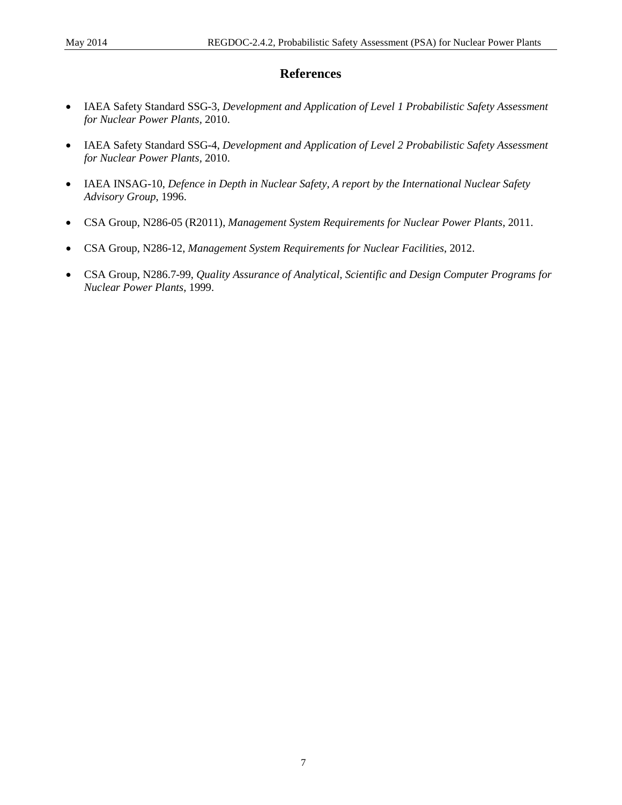# **References**

- <span id="page-11-0"></span>• IAEA Safety Standard SSG-3, *Development and Application of Level 1 Probabilistic Safety Assessment for Nuclear Power Plants,* 2010.
- IAEA Safety Standard SSG-4, *Development and Application of Level 2 Probabilistic Safety Assessment for Nuclear Power Plants,* 2010.
- IAEA INSAG-10, *Defence in Depth in Nuclear Safety, A report by the International Nuclear Safety Advisory Group*, 1996.
- CSA Group, N286-05 (R2011), *Management System Requirements for Nuclear Power Plants*, 2011.
- CSA Group, N286-12, *Management System Requirements for Nuclear Facilities*, 2012.
- CSA Group, N286.7-99, *Quality Assurance of Analytical, Scientific and Design Computer Programs for Nuclear Power Plants*, 1999.